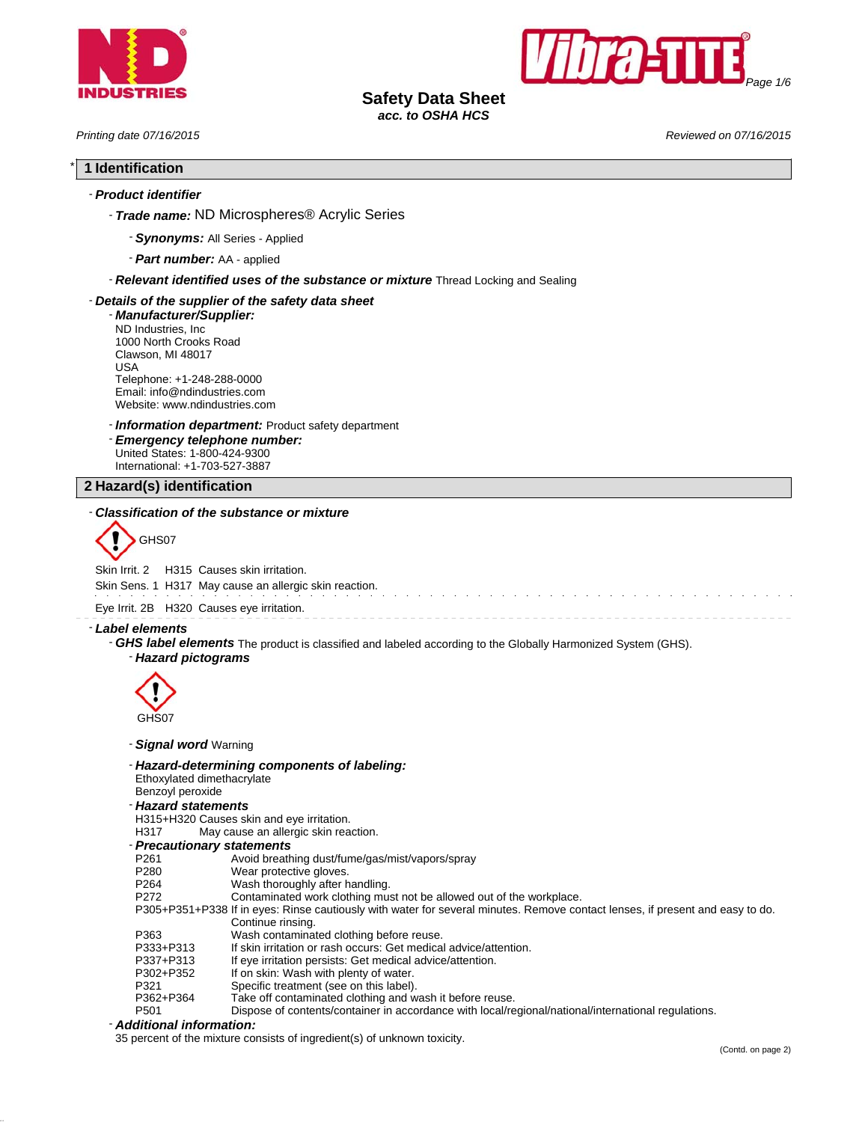



# **Safety Data Sheet**

*acc. to OSHA HCS*

*Printing date 07/16/2015 Reviewed on 07/16/2015*

# \* **1 Identification**

## - *Product identifier*

- *Trade name:* ND Microspheres® Acrylic Series

- *Synonyms:* All Series Applied
- *Part number:* AA applied

- *Relevant identified uses of the substance or mixture* Thread Locking and Sealing

#### - *Details of the supplier of the safety data sheet*

- *Manufacturer/Supplier:* ND Industries, Inc 1000 North Crooks Road Clawson, MI 48017 USA Telephone: +1-248-288-0000 Email: info@ndindustries.com Website: www.ndindustries.com

- *Information department:* Product safety department

- *Emergency telephone number:* United States: 1-800-424-9300 International: +1-703-527-3887

**2 Hazard(s) identification**

#### - *Classification of the substance or mixture*



Skin Irrit. 2 H315 Causes skin irritation.

Skin Sens. 1 H317 May cause an allergic skin reaction.

Eye Irrit. 2B H320 Causes eye irritation.

- *Label elements*

- *GHS label elements* The product is classified and labeled according to the Globally Harmonized System (GHS).

### - *Hazard pictograms*



- *Signal word* Warning

- *Hazard-determining components of labeling:*

Ethoxylated dimethacrylate

- Benzoyl peroxide
- *Hazard statements*

H315+H320 Causes skin and eye irritation.

- H317 May cause an allergic skin reaction.
- *Precautionary statements*
- P261 Avoid breathing dust/fume/gas/mist/vapors/spray<br>P280 Wear protective gloves.
- P280 Wear protective gloves.<br>P264 Wash thoroughly after h
- 
- P264 Wash thoroughly after handling.<br>P272 Contaminated work clothing mus Contaminated work clothing must not be allowed out of the workplace.
- P305+P351+P338 If in eyes: Rinse cautiously with water for several minutes. Remove contact lenses, if present and easy to do. Continue rinsing.
- P363 Wash contaminated clothing before reuse.<br>P333+P313 If skin irritation or rash occurs: Get medica If skin irritation or rash occurs: Get medical advice/attention. P337+P313 If eye irritation persists: Get medical advice/attention.<br>P302+P352 If on skin: Wash with plenty of water. P302+P352 If on skin: Wash with plenty of water. P321 Specific treatment (see on this label).<br>P362+P364 Take off contaminated clothing and w P362+P364 Take off contaminated clothing and wash it before reuse.<br>P501 P501 Dispose of contents/container in accordance with local/re
- Dispose of contents/container in accordance with local/regional/national/international regulations.

## - *Additional information:*

35 percent of the mixture consists of ingredient(s) of unknown toxicity.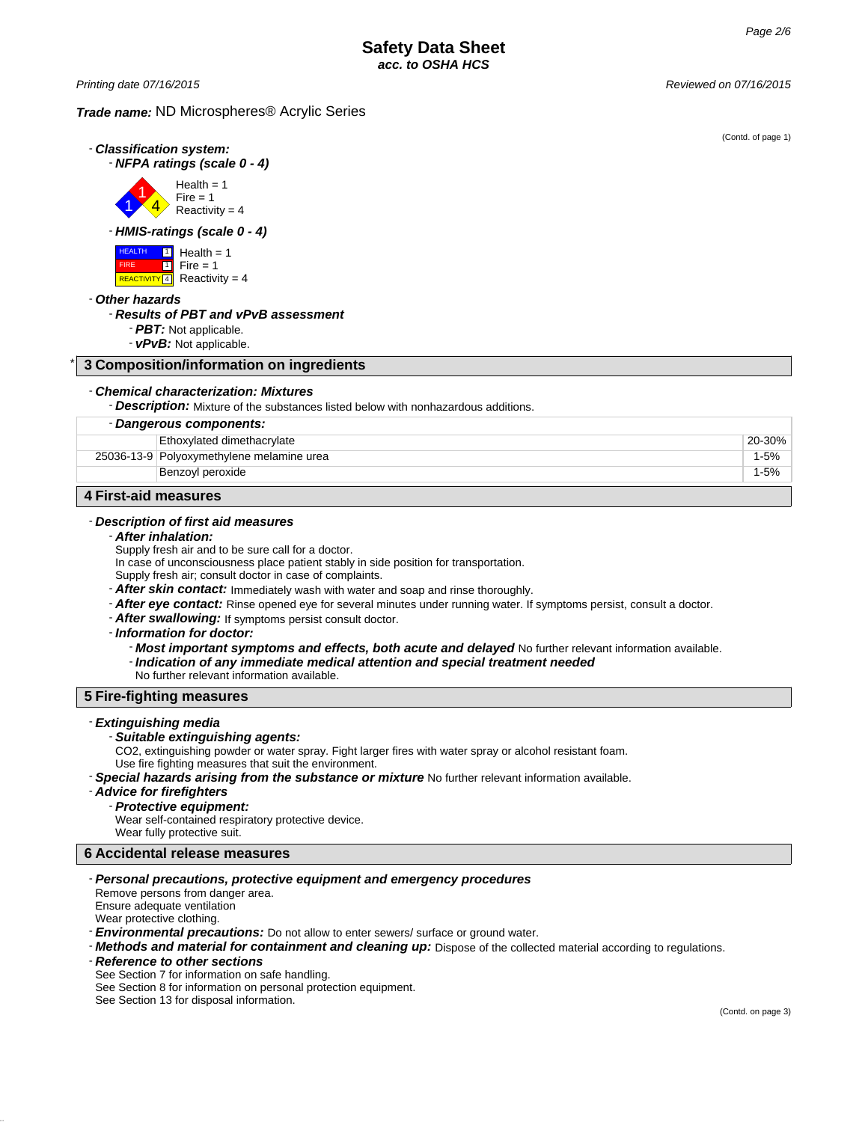*Printing date 07/16/2015 Reviewed on 07/16/2015*

## *Trade name:* ND Microspheres® Acrylic Series

|                                                                                                                                                                                                                                                                                                                                                                                                                                                                                          | (Contd. of page 1) |
|------------------------------------------------------------------------------------------------------------------------------------------------------------------------------------------------------------------------------------------------------------------------------------------------------------------------------------------------------------------------------------------------------------------------------------------------------------------------------------------|--------------------|
| - Classification system:                                                                                                                                                                                                                                                                                                                                                                                                                                                                 |                    |
| - NFPA ratings (scale 0 - 4)                                                                                                                                                                                                                                                                                                                                                                                                                                                             |                    |
| Health = $1$<br>Fire $= 1$<br>Reactivity = $4$                                                                                                                                                                                                                                                                                                                                                                                                                                           |                    |
| - HMIS-ratings (scale 0 - 4)                                                                                                                                                                                                                                                                                                                                                                                                                                                             |                    |
| <b>HEALTH</b><br>$\blacksquare$<br>Health $= 1$<br><b>FIRE</b><br>$\overline{1}$<br>$Fire = 1$<br>REACTIVITY 4 Reactivity = 4                                                                                                                                                                                                                                                                                                                                                            |                    |
| - Other hazards<br>- Results of PBT and vPvB assessment<br>- PBT: Not applicable.<br>- vPvB: Not applicable.                                                                                                                                                                                                                                                                                                                                                                             |                    |
| 3 Composition/information on ingredients                                                                                                                                                                                                                                                                                                                                                                                                                                                 |                    |
| - Chemical characterization: Mixtures<br>- Description: Mixture of the substances listed below with nonhazardous additions.                                                                                                                                                                                                                                                                                                                                                              |                    |
| - Dangerous components:                                                                                                                                                                                                                                                                                                                                                                                                                                                                  |                    |
| Ethoxylated dimethacrylate                                                                                                                                                                                                                                                                                                                                                                                                                                                               | 20-30%             |
| 25036-13-9 Polyoxymethylene melamine urea                                                                                                                                                                                                                                                                                                                                                                                                                                                | $1 - 5%$           |
| Benzoyl peroxide                                                                                                                                                                                                                                                                                                                                                                                                                                                                         | $1 - 5%$           |
| <b>4 First-aid measures</b>                                                                                                                                                                                                                                                                                                                                                                                                                                                              |                    |
|                                                                                                                                                                                                                                                                                                                                                                                                                                                                                          |                    |
| - Description of first aid measures                                                                                                                                                                                                                                                                                                                                                                                                                                                      |                    |
| - After inhalation:<br>Supply fresh air and to be sure call for a doctor.                                                                                                                                                                                                                                                                                                                                                                                                                |                    |
| In case of unconsciousness place patient stably in side position for transportation.                                                                                                                                                                                                                                                                                                                                                                                                     |                    |
| Supply fresh air; consult doctor in case of complaints.                                                                                                                                                                                                                                                                                                                                                                                                                                  |                    |
| - After skin contact: Immediately wash with water and soap and rinse thoroughly.                                                                                                                                                                                                                                                                                                                                                                                                         |                    |
| - After eye contact: Rinse opened eye for several minutes under running water. If symptoms persist, consult a doctor.                                                                                                                                                                                                                                                                                                                                                                    |                    |
| - After swallowing: If symptoms persist consult doctor.                                                                                                                                                                                                                                                                                                                                                                                                                                  |                    |
| - Information for doctor:                                                                                                                                                                                                                                                                                                                                                                                                                                                                |                    |
| - Most important symptoms and effects, both acute and delayed No further relevant information available.<br>- Indication of any immediate medical attention and special treatment needed<br>No further relevant information available.                                                                                                                                                                                                                                                   |                    |
| <b>5 Fire-fighting measures</b>                                                                                                                                                                                                                                                                                                                                                                                                                                                          |                    |
| - Extinguishing media<br>- Suitable extinguishing agents:<br>CO2, extinguishing powder or water spray. Fight larger fires with water spray or alcohol resistant foam.<br>Use fire fighting measures that suit the environment.<br><b>- Special hazards arising from the substance or mixture</b> No further relevant information available.<br>- Advice for firefighters<br>- Protective equipment:<br>Wear self-contained respiratory protective device.<br>Wear fully protective suit. |                    |
| <b>6 Accidental release measures</b>                                                                                                                                                                                                                                                                                                                                                                                                                                                     |                    |

# - *Personal precautions, protective equipment and emergency procedures*

- Remove persons from danger area. Ensure adequate ventilation Wear protective clothing.
- *Environmental precautions:* Do not allow to enter sewers/ surface or ground water.
- *Methods and material for containment and cleaning up:* Dispose of the collected material according to regulations.

- *Reference to other sections* See Section 7 for information on safe handling. See Section 8 for information on personal protection equipment. See Section 13 for disposal information.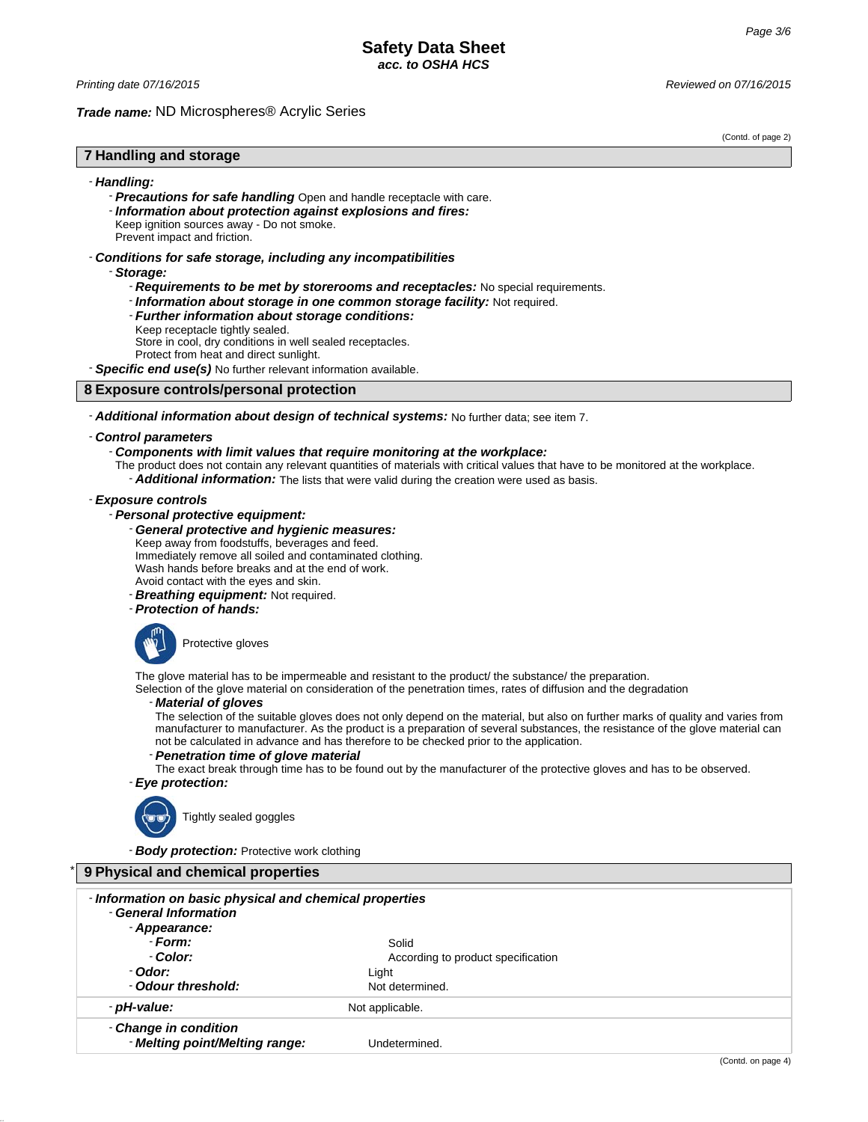#### *Trade name:* ND Microspheres® Acrylic Series

(Contd. of page 2)

## **7 Handling and storage**

#### - *Handling:*

- *Precautions for safe handling* Open and handle receptacle with care.
- *Information about protection against explosions and fires:*
- Keep ignition sources away Do not smoke.

# Prevent impact and friction.

- *Conditions for safe storage, including any incompatibilities*
	- *Storage:*
		- *Requirements to be met by storerooms and receptacles:* No special requirements.
		- *Information about storage in one common storage facility:* Not required.
		- *Further information about storage conditions:*
		- Keep receptacle tightly sealed.

Store in cool, dry conditions in well sealed receptacles.

Protect from heat and direct sunlight.

- *Specific end use(s)* No further relevant information available.

## **8 Exposure controls/personal protection**

# - *Additional information about design of technical systems:* No further data; see item 7.

#### - *Control parameters*

#### - *Components with limit values that require monitoring at the workplace:*

The product does not contain any relevant quantities of materials with critical values that have to be monitored at the workplace. - *Additional information:* The lists that were valid during the creation were used as basis.

# - *Exposure controls*

- *Personal protective equipment:*

### - *General protective and hygienic measures:*

- Keep away from foodstuffs, beverages and feed.
- Immediately remove all soiled and contaminated clothing.
- Wash hands before breaks and at the end of work.

Avoid contact with the eyes and skin.

- *Breathing equipment:* Not required.

- *Protection of hands:*



The glove material has to be impermeable and resistant to the product/ the substance/ the preparation.

Selection of the glove material on consideration of the penetration times, rates of diffusion and the degradation

#### - *Material of gloves*

The selection of the suitable gloves does not only depend on the material, but also on further marks of quality and varies from manufacturer to manufacturer. As the product is a preparation of several substances, the resistance of the glove material can not be calculated in advance and has therefore to be checked prior to the application.

## - *Penetration time of glove material*

The exact break through time has to be found out by the manufacturer of the protective gloves and has to be observed. - *Eye protection:*



Tightly sealed goggles

- *Body protection:* Protective work clothing

| 9 Physical and chemical properties                                                                |                                    |  |
|---------------------------------------------------------------------------------------------------|------------------------------------|--|
| - Information on basic physical and chemical properties<br>- General Information<br>- Appearance: |                                    |  |
| - Form:                                                                                           | Solid                              |  |
| - Color:                                                                                          | According to product specification |  |
| - Odor:                                                                                           | Light                              |  |
| - Odour threshold:                                                                                | Not determined.                    |  |
| - pH-value:                                                                                       | Not applicable.                    |  |
| - Change in condition<br>- Melting point/Melting range:                                           | Undetermined.                      |  |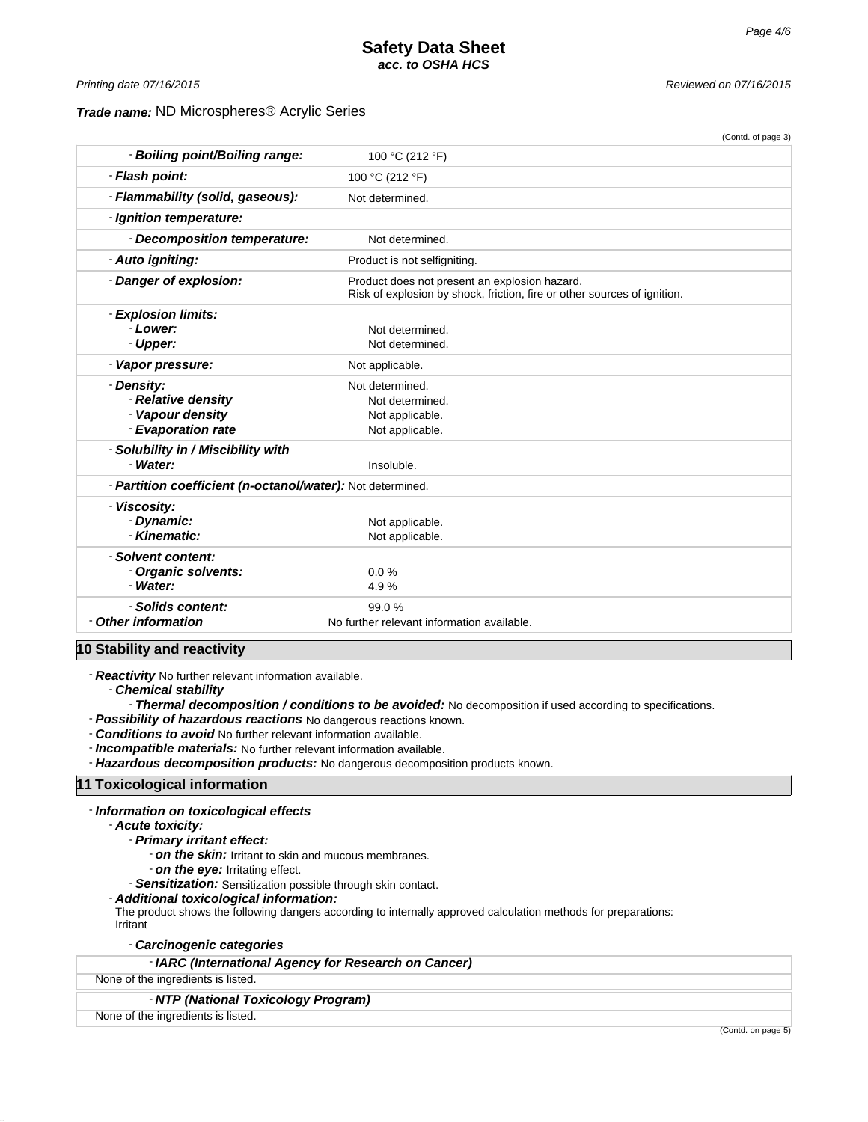(Contd. of page 3)

### *Trade name:* ND Microspheres® Acrylic Series

*Printing date 07/16/2015 Reviewed on 07/16/2015*

| - Boiling point/Boiling range:                             | 100 °C (212 °F)                                                                                                           |  |
|------------------------------------------------------------|---------------------------------------------------------------------------------------------------------------------------|--|
| - Flash point:                                             | 100 °C (212 °F)                                                                                                           |  |
| - Flammability (solid, gaseous):                           | Not determined.                                                                                                           |  |
| - Ignition temperature:                                    |                                                                                                                           |  |
| - Decomposition temperature:                               | Not determined.                                                                                                           |  |
| - Auto igniting:                                           | Product is not selfigniting.                                                                                              |  |
| - Danger of explosion:                                     | Product does not present an explosion hazard.<br>Risk of explosion by shock, friction, fire or other sources of ignition. |  |
| - Explosion limits:                                        |                                                                                                                           |  |
| - Lower:                                                   | Not determined.                                                                                                           |  |
| - Upper:                                                   | Not determined.                                                                                                           |  |
| - Vapor pressure:                                          | Not applicable.                                                                                                           |  |
| - Density:                                                 | Not determined.                                                                                                           |  |
| - Relative density                                         | Not determined.                                                                                                           |  |
| - Vapour density                                           | Not applicable.                                                                                                           |  |
| - Evaporation rate                                         | Not applicable.                                                                                                           |  |
| - Solubility in / Miscibility with                         |                                                                                                                           |  |
| - Water:                                                   | Insoluble.                                                                                                                |  |
| - Partition coefficient (n-octanol/water): Not determined. |                                                                                                                           |  |
| - Viscosity:                                               |                                                                                                                           |  |
| - Dynamic:                                                 | Not applicable.                                                                                                           |  |
| - Kinematic:                                               | Not applicable.                                                                                                           |  |
| - Solvent content:                                         |                                                                                                                           |  |
| - Organic solvents:                                        | 0.0%                                                                                                                      |  |
| - Water:                                                   | 4.9%                                                                                                                      |  |
| - Solids content:                                          | 99.0%                                                                                                                     |  |
| - Other information                                        | No further relevant information available.                                                                                |  |
| وتعالى والتقريب<br>مماليون والتلاط والمتلاء والمنافذ       |                                                                                                                           |  |

**10 Stability and reactivity**

- *Reactivity* No further relevant information available.

- *Chemical stability*

- *Thermal decomposition / conditions to be avoided:* No decomposition if used according to specifications.

- *Possibility of hazardous reactions* No dangerous reactions known.

- *Conditions to avoid* No further relevant information available.

- *Incompatible materials:* No further relevant information available.

- *Hazardous decomposition products:* No dangerous decomposition products known.

#### **11 Toxicological information**

- *Information on toxicological effects*

- *Acute toxicity:*

- *Primary irritant effect:*

- *on the skin:* Irritant to skin and mucous membranes.

- *on the eye:* Irritating effect.

- *Sensitization:* Sensitization possible through skin contact.

- *Additional toxicological information:*

The product shows the following dangers according to internally approved calculation methods for preparations: Irritant

- *Carcinogenic categories*

- *IARC (International Agency for Research on Cancer)*

None of the ingredients is listed.

## - *NTP (National Toxicology Program)*

None of the ingredients is listed.

(Contd. on page 5)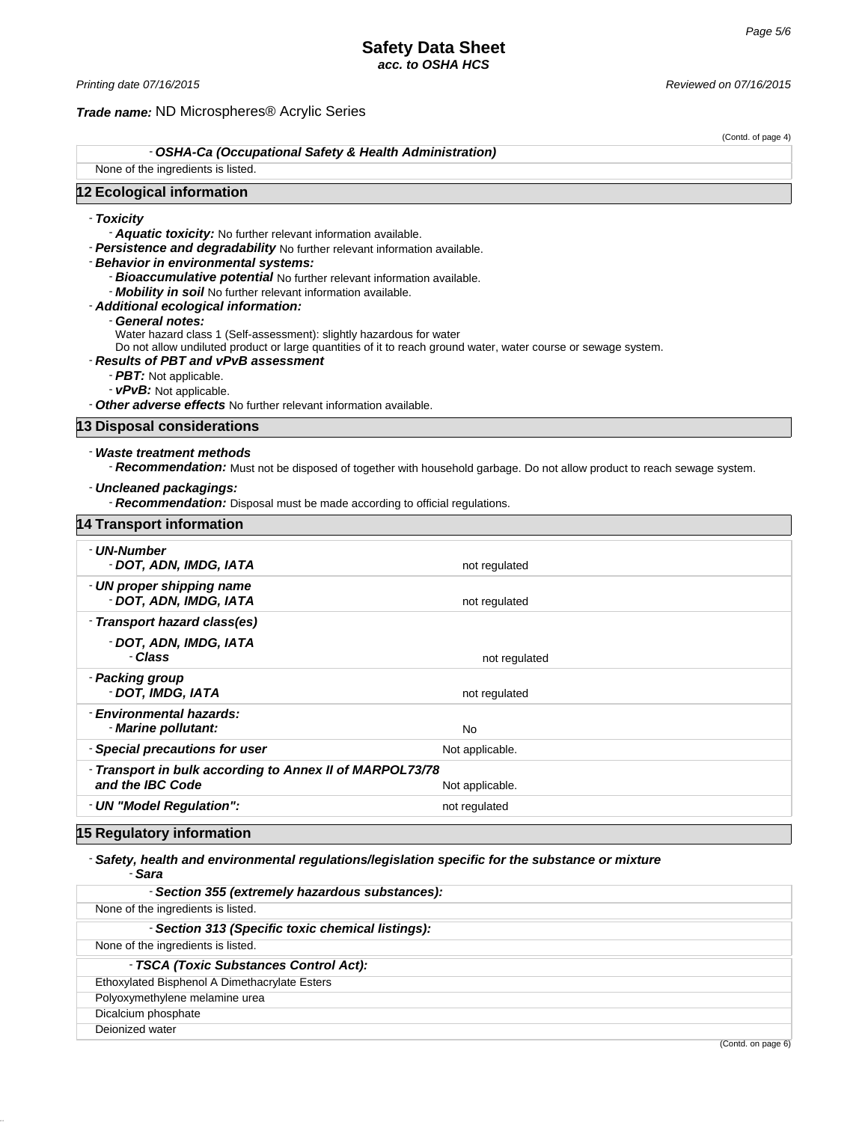*Printing date 07/16/2015 Reviewed on 07/16/2015*

#### *Trade name:* ND Microspheres® Acrylic Series

(Contd. of page 4)

- *OSHA-Ca (Occupational Safety & Health Administration)*

None of the ingredients is listed.

#### **12 Ecological information**

### - *Toxicity*

- *Aquatic toxicity:* No further relevant information available.

- *Persistence and degradability* No further relevant information available.
- *Behavior in environmental systems:*
	- *Bioaccumulative potential* No further relevant information available.
	- *Mobility in soil* No further relevant information available.
- *Additional ecological information:*
	- General notes:
	- Water hazard class 1 (Self-assessment): slightly hazardous for water

Do not allow undiluted product or large quantities of it to reach ground water, water course or sewage system.

#### - *Results of PBT and vPvB assessment*

- *PBT:* Not applicable.
- *vPvB:* Not applicable.

- *Other adverse effects* No further relevant information available.

#### **13 Disposal considerations**

### - *Waste treatment methods*

- *Recommendation:* Must not be disposed of together with household garbage. Do not allow product to reach sewage system.

#### - *Uncleaned packagings:*

- *Recommendation:* Disposal must be made according to official regulations.

| <b>14 Transport information</b>                                              |                 |
|------------------------------------------------------------------------------|-----------------|
| - UN-Number<br>- DOT, ADN, IMDG, IATA                                        | not regulated   |
| - UN proper shipping name<br>- DOT, ADN, IMDG, IATA                          | not regulated   |
| - Transport hazard class(es)                                                 |                 |
| - DOT, ADN, IMDG, IATA<br>- Class                                            | not regulated   |
| - Packing group<br>- DOT, IMDG, IATA                                         | not regulated   |
| - Environmental hazards:<br>- Marine pollutant:                              | No              |
| - Special precautions for user                                               | Not applicable. |
| - Transport in bulk according to Annex II of MARPOL73/78<br>and the IBC Code | Not applicable. |
| - UN "Model Regulation":                                                     | not regulated   |

# **15 Regulatory information**

#### - *Safety, health and environmental regulations/legislation specific for the substance or mixture* - *Sara*

| - Section 355 (extremely hazardous substances):   |          |  |
|---------------------------------------------------|----------|--|
| None of the ingredients is listed.                |          |  |
| - Section 313 (Specific toxic chemical listings): |          |  |
| None of the ingredients is listed.                |          |  |
| - TSCA (Toxic Substances Control Act):            |          |  |
| Ethoxylated Bisphenol A Dimethacrylate Esters     |          |  |
| Polyoxymethylene melamine urea                    |          |  |
| Dicalcium phosphate                               |          |  |
| Dejonized water                                   |          |  |
|                                                   | $\cdots$ |  |